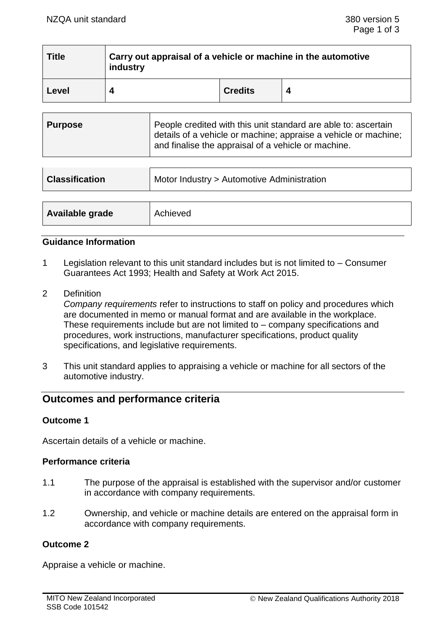| <b>Title</b> | Carry out appraisal of a vehicle or machine in the automotive<br>industry |                |  |  |
|--------------|---------------------------------------------------------------------------|----------------|--|--|
| Level        |                                                                           | <b>Credits</b> |  |  |

| <b>Classification</b> | Motor Industry > Automotive Administration |  |
|-----------------------|--------------------------------------------|--|
|                       |                                            |  |
| Available grade       | Achieved                                   |  |

## **Guidance Information**

- 1 Legislation relevant to this unit standard includes but is not limited to Consumer Guarantees Act 1993; Health and Safety at Work Act 2015.
- 2 Definition

*Company requirements* refer to instructions to staff on policy and procedures which are documented in memo or manual format and are available in the workplace. These requirements include but are not limited to – company specifications and procedures, work instructions, manufacturer specifications, product quality specifications, and legislative requirements.

3 This unit standard applies to appraising a vehicle or machine for all sectors of the automotive industry.

# **Outcomes and performance criteria**

## **Outcome 1**

Ascertain details of a vehicle or machine.

## **Performance criteria**

- 1.1 The purpose of the appraisal is established with the supervisor and/or customer in accordance with company requirements.
- 1.2 Ownership, and vehicle or machine details are entered on the appraisal form in accordance with company requirements.

## **Outcome 2**

Appraise a vehicle or machine.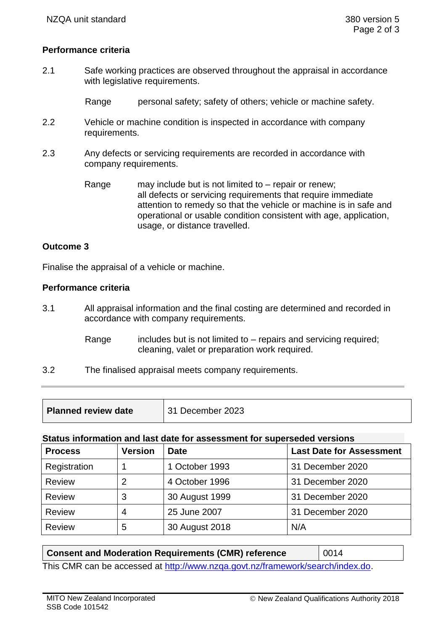## **Performance criteria**

2.1 Safe working practices are observed throughout the appraisal in accordance with legislative requirements.

Range personal safety; safety of others; vehicle or machine safety.

- 2.2 Vehicle or machine condition is inspected in accordance with company requirements.
- 2.3 Any defects or servicing requirements are recorded in accordance with company requirements.
	- Range may include but is not limited to repair or renew; all defects or servicing requirements that require immediate attention to remedy so that the vehicle or machine is in safe and operational or usable condition consistent with age, application, usage, or distance travelled.

#### **Outcome 3**

Finalise the appraisal of a vehicle or machine.

#### **Performance criteria**

- 3.1 All appraisal information and the final costing are determined and recorded in accordance with company requirements.
	- Range includes but is not limited to  $-$  repairs and servicing required; cleaning, valet or preparation work required.
- 3.2 The finalised appraisal meets company requirements.

| <b>Planned review date</b> | 31 December 2023 |
|----------------------------|------------------|
|----------------------------|------------------|

#### **Status information and last date for assessment for superseded versions**

| <b>Process</b> | <b>Version</b> | <b>Date</b>    | <b>Last Date for Assessment</b> |
|----------------|----------------|----------------|---------------------------------|
| Registration   |                | 1 October 1993 | 31 December 2020                |
| <b>Review</b>  | 2              | 4 October 1996 | 31 December 2020                |
| <b>Review</b>  | 3              | 30 August 1999 | 31 December 2020                |
| <b>Review</b>  | 4              | 25 June 2007   | 31 December 2020                |
| <b>Review</b>  | 5              | 30 August 2018 | N/A                             |

| <b>Consent and Moderation Requirements (CMR) reference</b>                     | $\parallel$ 0014 |  |  |  |
|--------------------------------------------------------------------------------|------------------|--|--|--|
| This CMR can be accessed at http://www.nzga.govt.nz/framework/search/index.do. |                  |  |  |  |